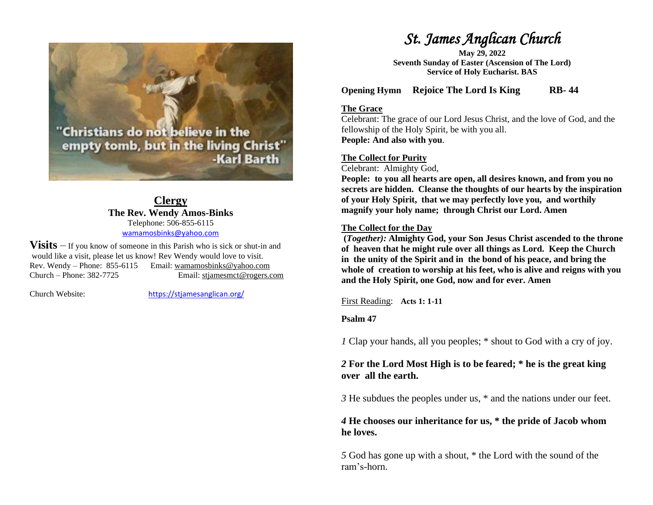Christians do not believe in the empty tomb, but in the living Christ" -Karl Barth

> **Clergy The Rev. Wendy Amos-Binks** Telephone: 506-855-6115 [wamamosbinks@yahoo.com](mailto:wamamosbinks@yahoo.com)

**Visits** – If you know of someone in this Parish who is sick or shut-in and would like a visit, please let us know! Rev Wendy would love to visit. Rev. Wendy – Phone: 855-6115 Email: wamamosbinks@yahoo.com Church – Phone: 382-7725 Email: [stjamesmct@rogers.com](mailto:stjamesmct@rogers.com)

Church Website: <https://stjamesanglican.org/>

# *St. James Anglican Church*

**May 29, 2022 Seventh Sunday of Easter (Ascension of The Lord) Service of Holy Eucharist. BAS**

**Opening Hymn Rejoice The Lord Is King RB- 44**

### **The Grace**

Celebrant: The grace of our Lord Jesus Christ, and the love of God, and the fellowship of the Holy Spirit, be with you all. **People: And also with you**.

## **The Collect for Purity**

Celebrant: Almighty God,

**People: to you all hearts are open, all desires known, and from you no secrets are hidden. Cleanse the thoughts of our hearts by the inspiration of your Holy Spirit, that we may perfectly love you, and worthily magnify your holy name; through Christ our Lord. Amen**

# **The Collect for the Day**

**(***Together):* **Almighty God, your Son Jesus Christ ascended to the throne of heaven that he might rule over all things as Lord. Keep the Church in the unity of the Spirit and in the bond of his peace, and bring the whole of creation to worship at his feet, who is alive and reigns with you and the Holy Spirit, one God, now and for ever. Amen**

First Reading: **Acts 1: 1-11**

## **Psalm 47**

*1* Clap your hands, all you peoples; \* shout to God with a cry of joy.

# *2* **For the Lord Most High is to be feared; \* he is the great king over all the earth.**

*3* He subdues the peoples under us, \* and the nations under our feet.

# *4* **He chooses our inheritance for us, \* the pride of Jacob whom he loves.**

*5* God has gone up with a shout, \* the Lord with the sound of the ram's-horn.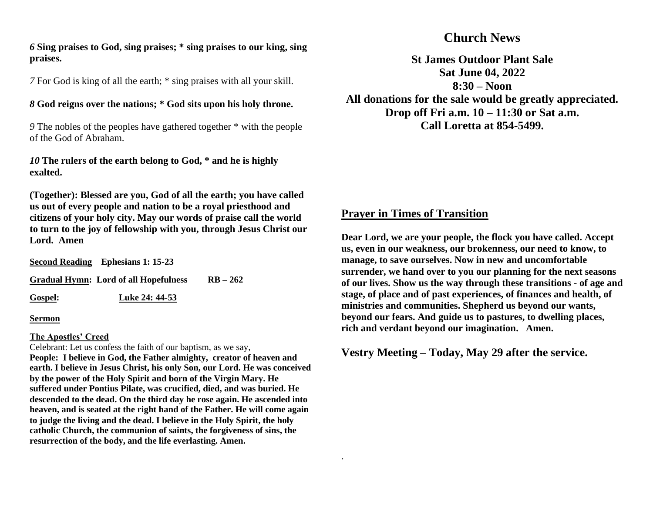### *6* **Sing praises to God, sing praises; \* sing praises to our king, sing praises.**

*7* For God is king of all the earth; \* sing praises with all your skill.

### *8* **God reigns over the nations; \* God sits upon his holy throne.**

*9* The nobles of the peoples have gathered together \* with the people of the God of Abraham.

*10* **The rulers of the earth belong to God, \* and he is highly exalted.**

**(Together): Blessed are you, God of all the earth; you have called us out of every people and nation to be a royal priesthood and citizens of your holy city. May our words of praise call the world to turn to the joy of fellowship with you, through Jesus Christ our Lord. Amen**

**Second Reading Ephesians 1: 15-23 Gradual Hymn: Lord of all Hopefulness RB – 262 Gospel: Luke 24: 44-53**

#### **Sermon**

### **The Apostles' Creed**

Celebrant: Let us confess the faith of our baptism, as we say, **People: I believe in God, the Father almighty, creator of heaven and earth. I believe in Jesus Christ, his only Son, our Lord. He was conceived by the power of the Holy Spirit and born of the Virgin Mary. He suffered under Pontius Pilate, was crucified, died, and was buried. He descended to the dead. On the third day he rose again. He ascended into heaven, and is seated at the right hand of the Father. He will come again to judge the living and the dead. I believe in the Holy Spirit, the holy catholic Church, the communion of saints, the forgiveness of sins, the resurrection of the body, and the life everlasting. Amen.**

# **Church News**

**St James Outdoor Plant Sale Sat June 04, 2022 8:30 – Noon All donations for the sale would be greatly appreciated. Drop off Fri a.m. 10 – 11:30 or Sat a.m. Call Loretta at 854-5499.**

# **Prayer in Times of Transition**

.

**Dear Lord, we are your people, the flock you have called. Accept us, even in our weakness, our brokenness, our need to know, to manage, to save ourselves. Now in new and uncomfortable surrender, we hand over to you our planning for the next seasons of our lives. Show us the way through these transitions - of age and stage, of place and of past experiences, of finances and health, of ministries and communities. Shepherd us beyond our wants, beyond our fears. And guide us to pastures, to dwelling places, rich and verdant beyond our imagination. Amen.**

**Vestry Meeting – Today, May 29 after the service.**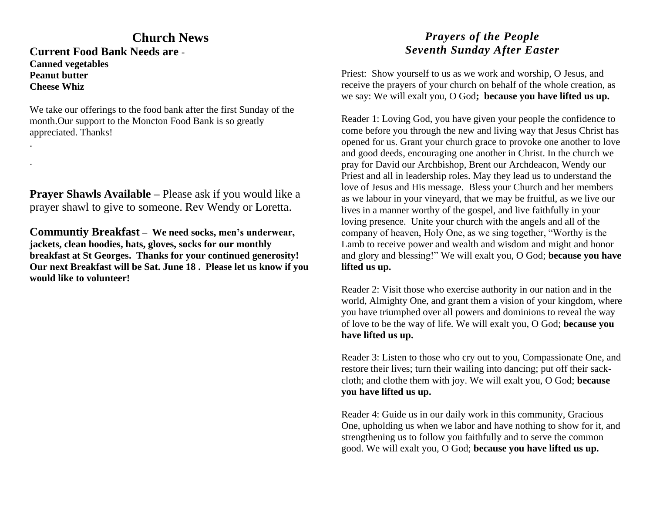# **Church News**

**Current Food Bank Needs are** - **Canned vegetables Peanut butter Cheese Whiz**

.

.

We take our offerings to the food bank after the first Sunday of the month.Our support to the Moncton Food Bank is so greatly appreciated. Thanks!

**Prayer Shawls Available –** Please ask if you would like a prayer shawl to give to someone. Rev Wendy or Loretta.

**Communtiy Breakfast – We need socks, men's underwear, jackets, clean hoodies, hats, gloves, socks for our monthly breakfast at St Georges. Thanks for your continued generosity! Our next Breakfast will be Sat. June 18 . Please let us know if you would like to volunteer!**

# *Prayers of the People Seventh Sunday After Easter*

Priest: Show yourself to us as we work and worship, O Jesus, and receive the prayers of your church on behalf of the whole creation, as we say: We will exalt you, O God**; because you have lifted us up.**

Reader 1: Loving God, you have given your people the confidence to come before you through the new and living way that Jesus Christ has opened for us. Grant your church grace to provoke one another to love and good deeds, encouraging one another in Christ. In the church we pray for David our Archbishop, Brent our Archdeacon, Wendy our Priest and all in leadership roles. May they lead us to understand the love of Jesus and His message. Bless your Church and her members as we labour in your vineyard, that we may be fruitful, as we live our lives in a manner worthy of the gospel, and live faithfully in your loving presence. Unite your church with the angels and all of the company of heaven, Holy One, as we sing together, "Worthy is the Lamb to receive power and wealth and wisdom and might and honor and glory and blessing!" We will exalt you, O God; **because you have lifted us up.**

Reader 2: Visit those who exercise authority in our nation and in the world, Almighty One, and grant them a vision of your kingdom, where you have triumphed over all powers and dominions to reveal the way of love to be the way of life. We will exalt you, O God; **because you have lifted us up.**

Reader 3: Listen to those who cry out to you, Compassionate One, and restore their lives; turn their wailing into dancing; put off their sackcloth; and clothe them with joy. We will exalt you, O God; **because you have lifted us up.**

Reader 4: Guide us in our daily work in this community, Gracious One, upholding us when we labor and have nothing to show for it, and strengthening us to follow you faithfully and to serve the common good. We will exalt you, O God; **because you have lifted us up.**